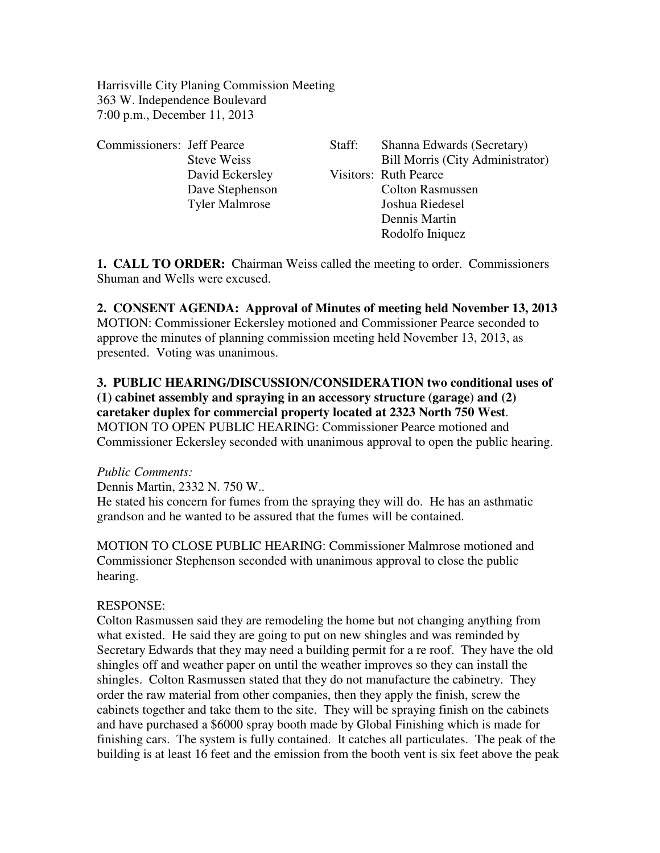Harrisville City Planing Commission Meeting 363 W. Independence Boulevard 7:00 p.m., December 11, 2013

| <b>Commissioners:</b> Jeff Pearce |                       | Staff: | Shanna Edwards (Secretary)              |
|-----------------------------------|-----------------------|--------|-----------------------------------------|
|                                   | <b>Steve Weiss</b>    |        | <b>Bill Morris (City Administrator)</b> |
|                                   | David Eckersley       |        | <b>Visitors: Ruth Pearce</b>            |
|                                   | Dave Stephenson       |        | <b>Colton Rasmussen</b>                 |
|                                   | <b>Tyler Malmrose</b> |        | Joshua Riedesel                         |
|                                   |                       |        | Dennis Martin                           |
|                                   |                       |        | Rodolfo Iniquez                         |

**1. CALL TO ORDER:** Chairman Weiss called the meeting to order. Commissioners Shuman and Wells were excused.

### **2. CONSENT AGENDA: Approval of Minutes of meeting held November 13, 2013**

MOTION: Commissioner Eckersley motioned and Commissioner Pearce seconded to approve the minutes of planning commission meeting held November 13, 2013, as presented. Voting was unanimous.

## **3. PUBLIC HEARING/DISCUSSION/CONSIDERATION two conditional uses of (1) cabinet assembly and spraying in an accessory structure (garage) and (2) caretaker duplex for commercial property located at 2323 North 750 West**. MOTION TO OPEN PUBLIC HEARING: Commissioner Pearce motioned and

Commissioner Eckersley seconded with unanimous approval to open the public hearing.

#### *Public Comments:*

Dennis Martin, 2332 N. 750 W..

He stated his concern for fumes from the spraying they will do. He has an asthmatic grandson and he wanted to be assured that the fumes will be contained.

MOTION TO CLOSE PUBLIC HEARING: Commissioner Malmrose motioned and Commissioner Stephenson seconded with unanimous approval to close the public hearing.

#### RESPONSE:

Colton Rasmussen said they are remodeling the home but not changing anything from what existed. He said they are going to put on new shingles and was reminded by Secretary Edwards that they may need a building permit for a re roof. They have the old shingles off and weather paper on until the weather improves so they can install the shingles. Colton Rasmussen stated that they do not manufacture the cabinetry. They order the raw material from other companies, then they apply the finish, screw the cabinets together and take them to the site. They will be spraying finish on the cabinets and have purchased a \$6000 spray booth made by Global Finishing which is made for finishing cars. The system is fully contained. It catches all particulates. The peak of the building is at least 16 feet and the emission from the booth vent is six feet above the peak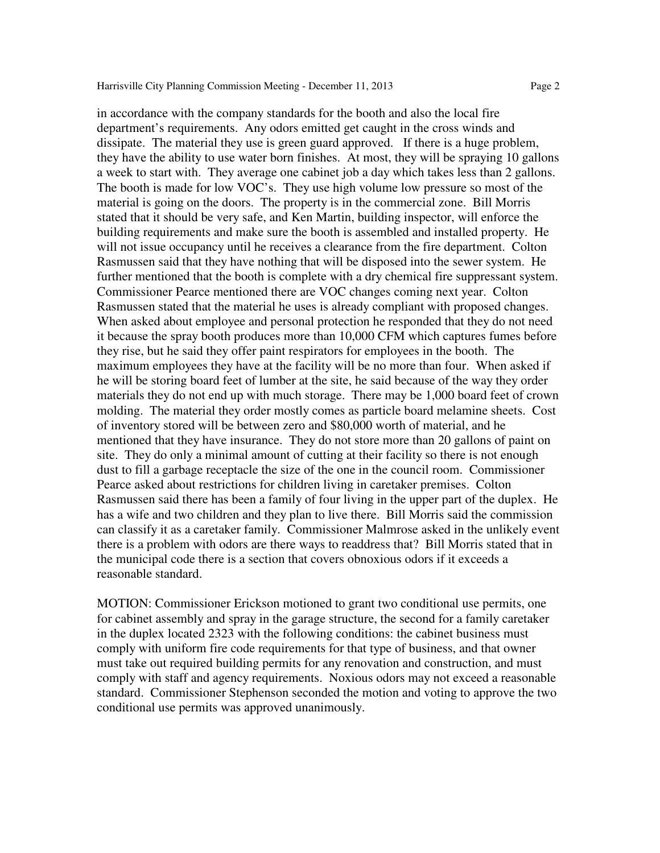in accordance with the company standards for the booth and also the local fire

department's requirements. Any odors emitted get caught in the cross winds and dissipate. The material they use is green guard approved. If there is a huge problem, they have the ability to use water born finishes. At most, they will be spraying 10 gallons a week to start with. They average one cabinet job a day which takes less than 2 gallons. The booth is made for low VOC's. They use high volume low pressure so most of the material is going on the doors. The property is in the commercial zone. Bill Morris stated that it should be very safe, and Ken Martin, building inspector, will enforce the building requirements and make sure the booth is assembled and installed property. He will not issue occupancy until he receives a clearance from the fire department. Colton Rasmussen said that they have nothing that will be disposed into the sewer system. He further mentioned that the booth is complete with a dry chemical fire suppressant system. Commissioner Pearce mentioned there are VOC changes coming next year. Colton Rasmussen stated that the material he uses is already compliant with proposed changes. When asked about employee and personal protection he responded that they do not need it because the spray booth produces more than 10,000 CFM which captures fumes before they rise, but he said they offer paint respirators for employees in the booth. The maximum employees they have at the facility will be no more than four. When asked if he will be storing board feet of lumber at the site, he said because of the way they order materials they do not end up with much storage. There may be 1,000 board feet of crown molding. The material they order mostly comes as particle board melamine sheets. Cost of inventory stored will be between zero and \$80,000 worth of material, and he mentioned that they have insurance. They do not store more than 20 gallons of paint on site. They do only a minimal amount of cutting at their facility so there is not enough dust to fill a garbage receptacle the size of the one in the council room. Commissioner Pearce asked about restrictions for children living in caretaker premises. Colton Rasmussen said there has been a family of four living in the upper part of the duplex. He has a wife and two children and they plan to live there. Bill Morris said the commission can classify it as a caretaker family. Commissioner Malmrose asked in the unlikely event there is a problem with odors are there ways to readdress that? Bill Morris stated that in the municipal code there is a section that covers obnoxious odors if it exceeds a reasonable standard.

MOTION: Commissioner Erickson motioned to grant two conditional use permits, one for cabinet assembly and spray in the garage structure, the second for a family caretaker in the duplex located 2323 with the following conditions: the cabinet business must comply with uniform fire code requirements for that type of business, and that owner must take out required building permits for any renovation and construction, and must comply with staff and agency requirements. Noxious odors may not exceed a reasonable standard. Commissioner Stephenson seconded the motion and voting to approve the two conditional use permits was approved unanimously.